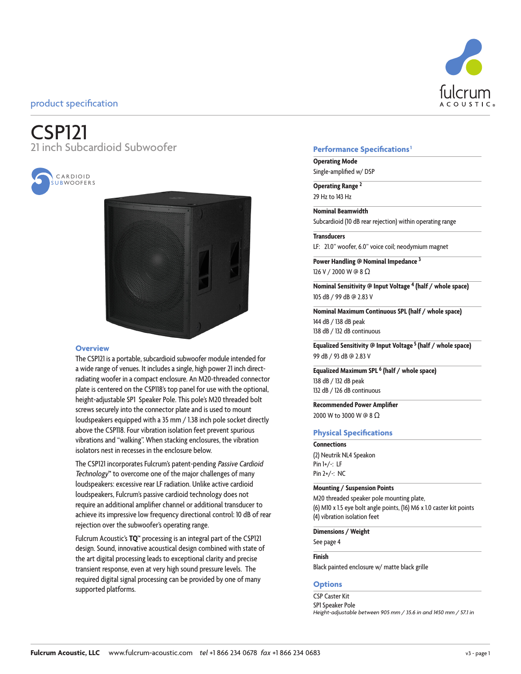# CSP121 21 inch Subcardioid Subwoofer





#### **Overview**

The CSP121 is a portable, subcardioid subwoofer module intended for a wide range of venues. It includes a single, high power 21 inch directradiating woofer in a compact enclosure. An M20-threaded connector plate is centered on the CSP118's top panel for use with the optional, height-adjustable SP1 Speaker Pole. This pole's M20 threaded bolt screws securely into the connector plate and is used to mount loudspeakers equipped with a 35 mm / 1.38 inch pole socket directly above the CSP118. Four vibration isolation feet prevent spurious vibrations and "walking". When stacking enclosures, the vibration isolators nest in recesses in the enclosure below.

The CSP121 incorporates Fulcrum's patent-pending Passive Cardioid Technology**™** to overcome one of the major challenges of many loudspeakers: excessive rear LF radiation. Unlike active cardioid loudspeakers, Fulcrum's passive cardioid technology does not require an additional amplifier channel or additional transducer to achieve its impressive low frequency directional control: 10 dB of rear rejection over the subwoofer's operating range.

Fulcrum Acoustic's **TQ™** processing is an integral part of the CSP121 design. Sound, innovative acoustical design combined with state of the art digital processing leads to exceptional clarity and precise transient response, even at very high sound pressure levels. The required digital signal processing can be provided by one of many supported platforms.

### **Performance Specifications1**

**Operating Mode** Single-amplified w/ DSP

**Operating Range <sup>2</sup>** 29 Hz to 143 Hz

**Nominal Beamwidth**

Subcardioid (10 dB rear rejection) within operating range

#### **Transducers**

LF: 21.0" woofer, 6.0" voice coil; neodymium magnet

**Power Handling @ Nominal Impedance 3** 126 V / 2000 W @ 8 Ω

**Nominal Sensitivity @ Input Voltage 4 (half / whole space)** 105 dB / 99 dB @ 2.83 V

**Nominal Maximum Continuous SPL (half / whole space)** 144 dB / 138 dB peak 138 dB / 132 dB continuous

**Equalized Sensitivity @ Input Voltage 5 (half / whole space)** 99 dB / 93 dB @ 2.83 V

**Equalized Maximum SPL 6 (half / whole space)** 138 dB / 132 dB peak 132 dB / 126 dB continuous

**Recommended Power Amplifier** 2000 W to 3000 W @ 8 Ω

#### **Physical Specifications**

**Connections** (2) Neutrik NL4 Speakon Pin 1+/-: LF Pin 2+/-: NC

#### **Mounting / Suspension Points**

M20 threaded speaker pole mounting plate, (6) M10 x 1.5 eye bolt angle points, (16) M6 x 1.0 caster kit points (4) vibration isolation feet

**Dimensions / Weight**

See page 4

#### **Finish**

Black painted enclosure w/ matte black grille

#### **Options**

CSP Caster Kit SP1 Speaker Pole *Height-adjustable between 905 mm / 35.6 in and 1450 mm / 57.1 in*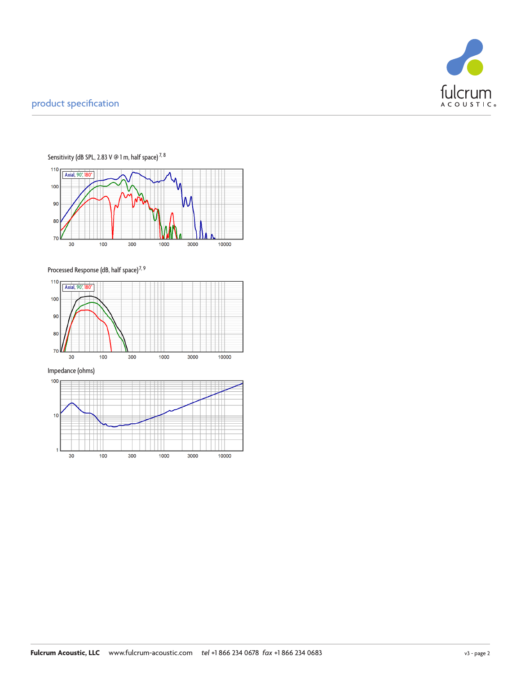



Sensitivity (dB SPL, 2.83 V @ 1 m, half space)  $^{7,8}$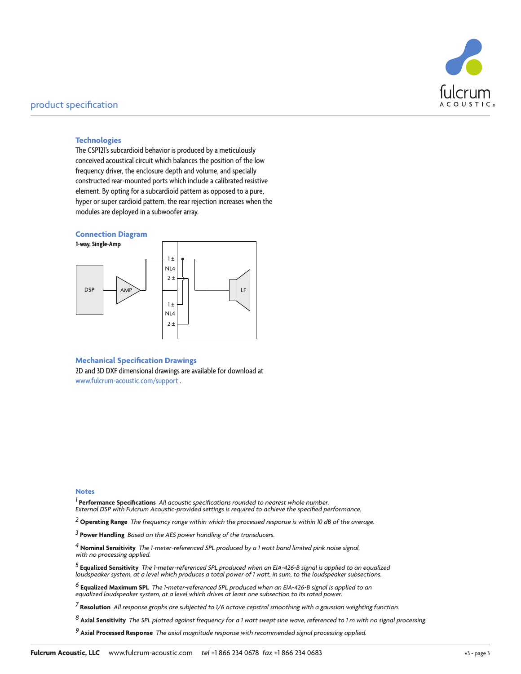

#### **Technologies**

The CSP121's subcardioid behavior is produced by a meticulously conceived acoustical circuit which balances the position of the low frequency driver, the enclosure depth and volume, and specially constructed rear-mounted ports which include a calibrated resistive element. By opting for a subcardioid pattern as opposed to a pure, hyper or super cardioid pattern, the rear rejection increases when the modules are deployed in a subwoofer array.





#### **Mechanical Specification Drawings**

2D and 3D DXF dimensional drawings are available for download at www.fulcrum-acoustic.com/support .

#### **Notes**

*1* **Performance Specifications** *All acoustic specifications rounded to nearest whole number. External DSP with Fulcrum Acoustic-provided settings is required to achieve the specified performance.*

*2* **Operating Range** *The frequency range within which the processed response is within 10 dB of the average.*

*3* **Power Handling** *Based on the AES power handling of the transducers.*

*4* **Nominal Sensitivity** *The 1-meter-referenced SPL produced by a 1 watt band limited pink noise signal, with no processing applied.*

*5* **Equalized Sensitivity** *The 1-meter-referenced SPL produced when an EIA-426-B signal is applied to an equalized loudspeaker system, at a level which produces a total power of 1 watt, in sum, to the loudspeaker subsections.* 

<sup>6</sup> **Equalized Maximum SPL** The 1-meter-referenced SPL produced when an EIA-426-B signal is applied to an<br>equalized loudspeaker system, at a level which drives at least one subsection to its rated power.

*7* **Resolution** *All response graphs are subjected to 1/6 octave cepstral smoothing with a gaussian weighting function.* 

*8* **Axial Sensitivity** *The SPL plotted against frequency for a 1 watt swept sine wave, referenced to 1 m with no signal processing.*

*9* **Axial Processed Response** *The axial magnitude response with recommended signal processing applied.*